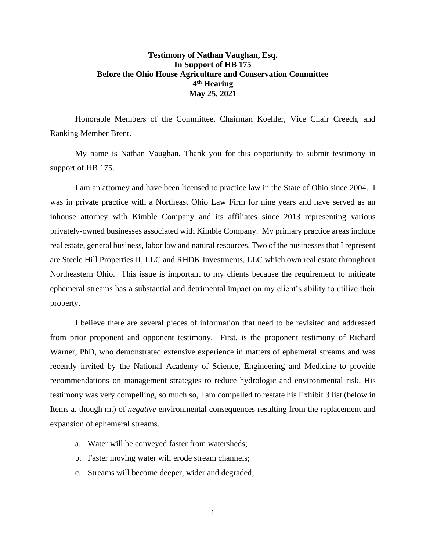## **Testimony of Nathan Vaughan, Esq. In Support of HB 175 Before the Ohio House Agriculture and Conservation Committee 4 th Hearing May 25, 2021**

Honorable Members of the Committee, Chairman Koehler, Vice Chair Creech, and Ranking Member Brent.

My name is Nathan Vaughan. Thank you for this opportunity to submit testimony in support of HB 175.

I am an attorney and have been licensed to practice law in the State of Ohio since 2004. I was in private practice with a Northeast Ohio Law Firm for nine years and have served as an inhouse attorney with Kimble Company and its affiliates since 2013 representing various privately-owned businesses associated with Kimble Company. My primary practice areas include real estate, general business, labor law and natural resources. Two of the businesses that I represent are Steele Hill Properties II, LLC and RHDK Investments, LLC which own real estate throughout Northeastern Ohio. This issue is important to my clients because the requirement to mitigate ephemeral streams has a substantial and detrimental impact on my client's ability to utilize their property.

I believe there are several pieces of information that need to be revisited and addressed from prior proponent and opponent testimony. First, is the proponent testimony of Richard Warner, PhD, who demonstrated extensive experience in matters of ephemeral streams and was recently invited by the National Academy of Science, Engineering and Medicine to provide recommendations on management strategies to reduce hydrologic and environmental risk. His testimony was very compelling, so much so, I am compelled to restate his Exhibit 3 list (below in Items a. though m.) of *negative* environmental consequences resulting from the replacement and expansion of ephemeral streams.

- a. Water will be conveyed faster from watersheds;
- b. Faster moving water will erode stream channels;
- c. Streams will become deeper, wider and degraded;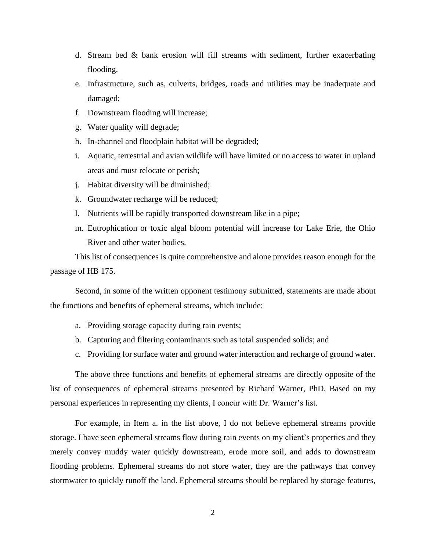- d. Stream bed & bank erosion will fill streams with sediment, further exacerbating flooding.
- e. Infrastructure, such as, culverts, bridges, roads and utilities may be inadequate and damaged;
- f. Downstream flooding will increase;
- g. Water quality will degrade;
- h. In-channel and floodplain habitat will be degraded;
- i. Aquatic, terrestrial and avian wildlife will have limited or no access to water in upland areas and must relocate or perish;
- j. Habitat diversity will be diminished;
- k. Groundwater recharge will be reduced;
- l. Nutrients will be rapidly transported downstream like in a pipe;
- m. Eutrophication or toxic algal bloom potential will increase for Lake Erie, the Ohio River and other water bodies.

This list of consequences is quite comprehensive and alone provides reason enough for the passage of HB 175.

Second, in some of the written opponent testimony submitted, statements are made about the functions and benefits of ephemeral streams, which include:

- a. Providing storage capacity during rain events;
- b. Capturing and filtering contaminants such as total suspended solids; and
- c. Providing for surface water and ground water interaction and recharge of ground water.

The above three functions and benefits of ephemeral streams are directly opposite of the list of consequences of ephemeral streams presented by Richard Warner, PhD. Based on my personal experiences in representing my clients, I concur with Dr. Warner's list.

For example, in Item a. in the list above, I do not believe ephemeral streams provide storage. I have seen ephemeral streams flow during rain events on my client's properties and they merely convey muddy water quickly downstream, erode more soil, and adds to downstream flooding problems. Ephemeral streams do not store water, they are the pathways that convey stormwater to quickly runoff the land. Ephemeral streams should be replaced by storage features,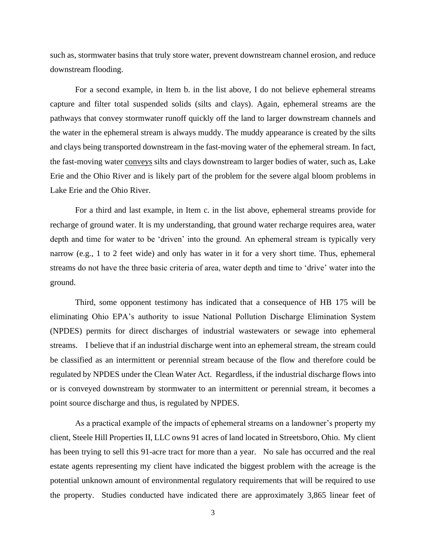such as, stormwater basins that truly store water, prevent downstream channel erosion, and reduce downstream flooding.

For a second example, in Item b. in the list above, I do not believe ephemeral streams capture and filter total suspended solids (silts and clays). Again, ephemeral streams are the pathways that convey stormwater runoff quickly off the land to larger downstream channels and the water in the ephemeral stream is always muddy. The muddy appearance is created by the silts and clays being transported downstream in the fast-moving water of the ephemeral stream. In fact, the fast-moving water conveys silts and clays downstream to larger bodies of water, such as, Lake Erie and the Ohio River and is likely part of the problem for the severe algal bloom problems in Lake Erie and the Ohio River.

For a third and last example, in Item c. in the list above, ephemeral streams provide for recharge of ground water. It is my understanding, that ground water recharge requires area, water depth and time for water to be 'driven' into the ground. An ephemeral stream is typically very narrow (e.g., 1 to 2 feet wide) and only has water in it for a very short time. Thus, ephemeral streams do not have the three basic criteria of area, water depth and time to 'drive' water into the ground.

Third, some opponent testimony has indicated that a consequence of HB 175 will be eliminating Ohio EPA's authority to issue National Pollution Discharge Elimination System (NPDES) permits for direct discharges of industrial wastewaters or sewage into ephemeral streams. I believe that if an industrial discharge went into an ephemeral stream, the stream could be classified as an intermittent or perennial stream because of the flow and therefore could be regulated by NPDES under the Clean Water Act. Regardless, if the industrial discharge flows into or is conveyed downstream by stormwater to an intermittent or perennial stream, it becomes a point source discharge and thus, is regulated by NPDES.

As a practical example of the impacts of ephemeral streams on a landowner's property my client, Steele Hill Properties II, LLC owns 91 acres of land located in Streetsboro, Ohio. My client has been trying to sell this 91-acre tract for more than a year. No sale has occurred and the real estate agents representing my client have indicated the biggest problem with the acreage is the potential unknown amount of environmental regulatory requirements that will be required to use the property. Studies conducted have indicated there are approximately 3,865 linear feet of